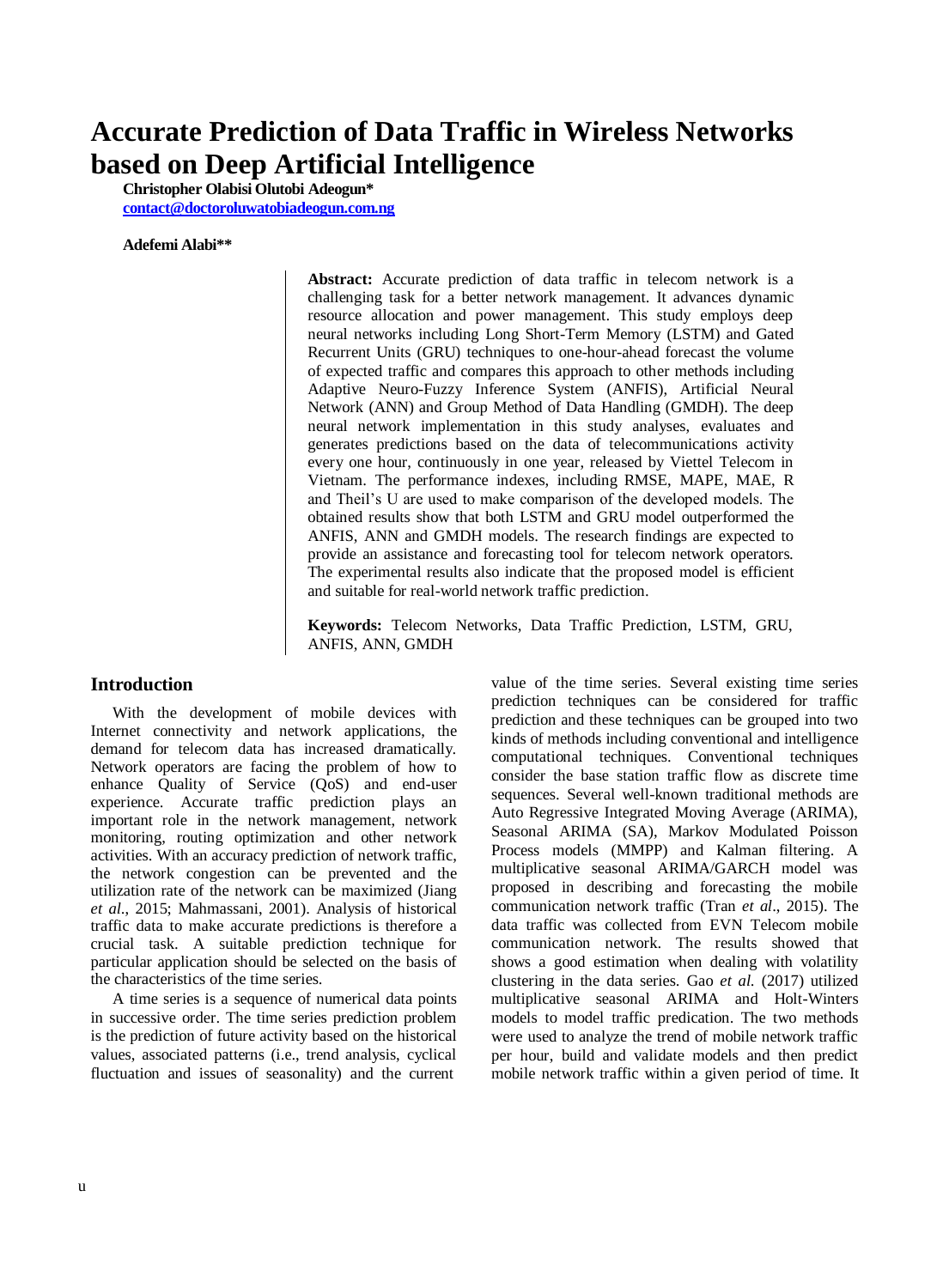# **Accurate Prediction of Data Traffic in Wireless Networks based on Deep Artificial Intelligence**

**Christopher Olabisi Olutobi Adeogun\* [contact@doctoroluwatobiadeogun.com.ng](mailto:contact@doctoroluwatobiadeogun.com.ng)**

**Adefemi Alabi\*\***

**Abstract:** Accurate prediction of data traffic in telecom network is a challenging task for a better network management. It advances dynamic resource allocation and power management. This study employs deep neural networks including Long Short-Term Memory (LSTM) and Gated Recurrent Units (GRU) techniques to one-hour-ahead forecast the volume of expected traffic and compares this approach to other methods including Adaptive Neuro-Fuzzy Inference System (ANFIS), Artificial Neural Network (ANN) and Group Method of Data Handling (GMDH). The deep neural network implementation in this study analyses, evaluates and generates predictions based on the data of telecommunications activity every one hour, continuously in one year, released by Viettel Telecom in Vietnam. The performance indexes, including RMSE, MAPE, MAE, R and Theil's U are used to make comparison of the developed models. The obtained results show that both LSTM and GRU model outperformed the ANFIS, ANN and GMDH models. The research findings are expected to provide an assistance and forecasting tool for telecom network operators. The experimental results also indicate that the proposed model is efficient and suitable for real-world network traffic prediction.

**Keywords:** Telecom Networks, Data Traffic Prediction, LSTM, GRU, ANFIS, ANN, GMDH

# **Introduction**

With the development of mobile devices with Internet connectivity and network applications, the demand for telecom data has increased dramatically. Network operators are facing the problem of how to enhance Quality of Service (QoS) and end-user experience. Accurate traffic prediction plays an important role in the network management, network monitoring, routing optimization and other network activities. With an accuracy prediction of network traffic, the network congestion can be prevented and the utilization rate of the network can be maximized (Jiang *et al*., 2015; Mahmassani, 2001). Analysis of historical traffic data to make accurate predictions is therefore a crucial task. A suitable prediction technique for particular application should be selected on the basis of the characteristics of the time series.

A time series is a sequence of numerical data points in successive order. The time series prediction problem is the prediction of future activity based on the historical values, associated patterns (i.e., trend analysis, cyclical fluctuation and issues of seasonality) and the current

value of the time series. Several existing time series prediction techniques can be considered for traffic prediction and these techniques can be grouped into two kinds of methods including conventional and intelligence computational techniques. Conventional techniques consider the base station traffic flow as discrete time sequences. Several well-known traditional methods are Auto Regressive Integrated Moving Average (ARIMA), Seasonal ARIMA (SA), Markov Modulated Poisson Process models (MMPP) and Kalman filtering. A multiplicative seasonal ARIMA/GARCH model was proposed in describing and forecasting the mobile communication network traffic (Tran *et al*., 2015). The data traffic was collected from EVN Telecom mobile communication network. The results showed that shows a good estimation when dealing with volatility clustering in the data series. Gao *et al*. (2017) utilized multiplicative seasonal ARIMA and Holt-Winters models to model traffic predication. The two methods were used to analyze the trend of mobile network traffic per hour, build and validate models and then predict mobile network traffic within a given period of time. It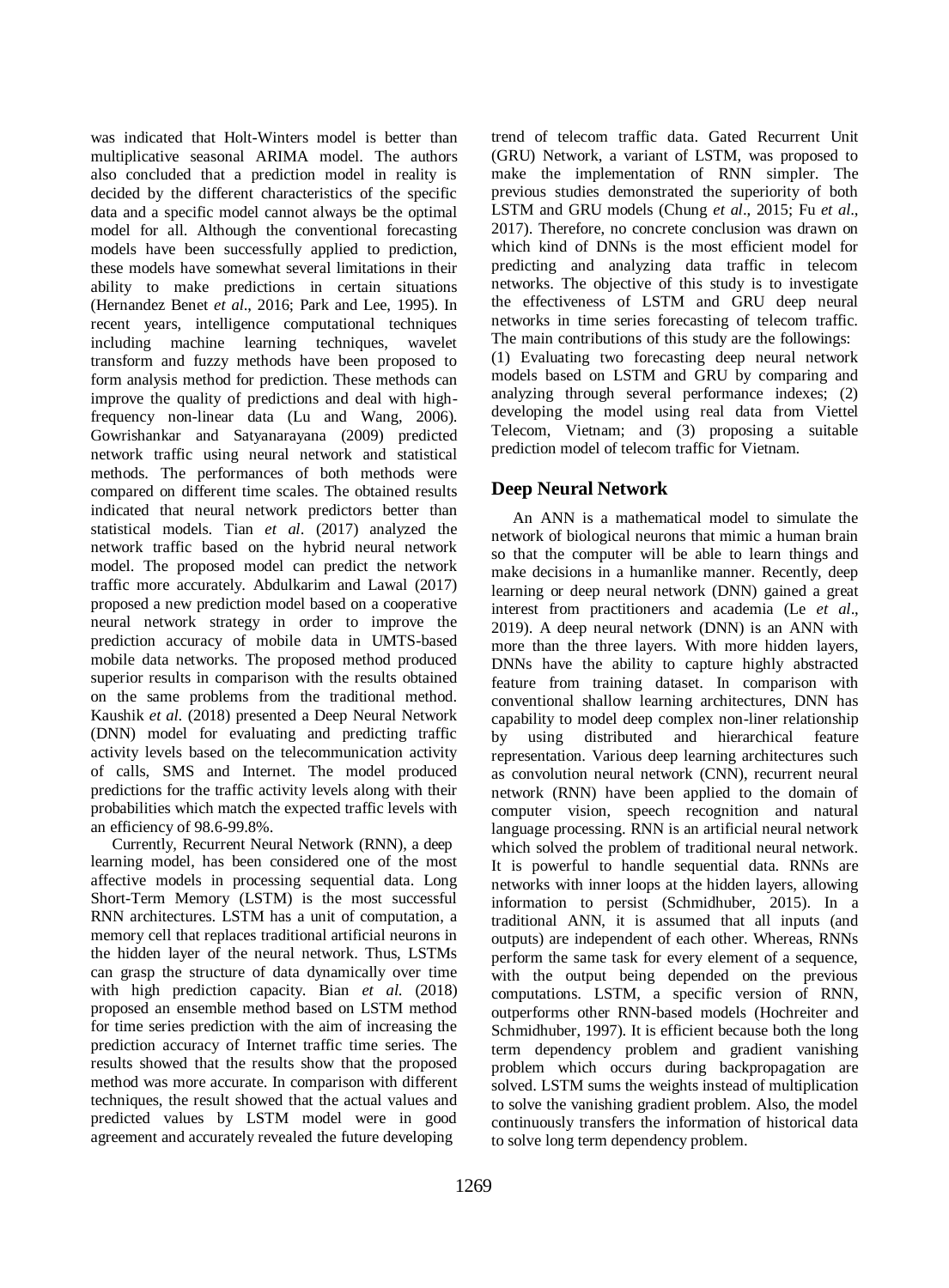was indicated that Holt-Winters model is better than multiplicative seasonal ARIMA model. The authors also concluded that a prediction model in reality is decided by the different characteristics of the specific data and a specific model cannot always be the optimal model for all. Although the conventional forecasting models have been successfully applied to prediction, these models have somewhat several limitations in their ability to make predictions in certain situations (Hernandez Benet *et al*., 2016; Park and Lee, 1995). In recent years, intelligence computational techniques including machine learning techniques, wavelet transform and fuzzy methods have been proposed to form analysis method for prediction. These methods can improve the quality of predictions and deal with highfrequency non-linear data (Lu and Wang, 2006). Gowrishankar and Satyanarayana (2009) predicted network traffic using neural network and statistical methods. The performances of both methods were compared on different time scales. The obtained results indicated that neural network predictors better than statistical models. Tian *et al*. (2017) analyzed the network traffic based on the hybrid neural network model. The proposed model can predict the network traffic more accurately. Abdulkarim and Lawal (2017) proposed a new prediction model based on a cooperative neural network strategy in order to improve the prediction accuracy of mobile data in UMTS-based mobile data networks. The proposed method produced superior results in comparison with the results obtained on the same problems from the traditional method. Kaushik *et al*. (2018) presented a Deep Neural Network (DNN) model for evaluating and predicting traffic activity levels based on the telecommunication activity of calls, SMS and Internet. The model produced predictions for the traffic activity levels along with their probabilities which match the expected traffic levels with an efficiency of 98.6-99.8%.

Currently, Recurrent Neural Network (RNN), a deep learning model, has been considered one of the most affective models in processing sequential data. Long Short-Term Memory (LSTM) is the most successful RNN architectures. LSTM has a unit of computation, a memory cell that replaces traditional artificial neurons in the hidden layer of the neural network. Thus, LSTMs can grasp the structure of data dynamically over time with high prediction capacity. Bian *et al*. (2018) proposed an ensemble method based on LSTM method for time series prediction with the aim of increasing the prediction accuracy of Internet traffic time series. The results showed that the results show that the proposed method was more accurate. In comparison with different techniques, the result showed that the actual values and predicted values by LSTM model were in good agreement and accurately revealed the future developing

trend of telecom traffic data. Gated Recurrent Unit (GRU) Network, a variant of LSTM, was proposed to make the implementation of RNN simpler. The previous studies demonstrated the superiority of both LSTM and GRU models (Chung *et al*., 2015; Fu *et al*., 2017). Therefore, no concrete conclusion was drawn on which kind of DNNs is the most efficient model for predicting and analyzing data traffic in telecom networks. The objective of this study is to investigate the effectiveness of LSTM and GRU deep neural networks in time series forecasting of telecom traffic. The main contributions of this study are the followings: (1) Evaluating two forecasting deep neural network models based on LSTM and GRU by comparing and analyzing through several performance indexes; (2) developing the model using real data from Viettel Telecom, Vietnam; and (3) proposing a suitable prediction model of telecom traffic for Vietnam.

# **Deep Neural Network**

An ANN is a mathematical model to simulate the network of biological neurons that mimic a human brain so that the computer will be able to learn things and make decisions in a humanlike manner. Recently, deep learning or deep neural network (DNN) gained a great interest from practitioners and academia (Le *et al*., 2019). A deep neural network (DNN) is an ANN with more than the three layers. With more hidden layers, DNNs have the ability to capture highly abstracted feature from training dataset. In comparison with conventional shallow learning architectures, DNN has capability to model deep complex non-liner relationship by using distributed and hierarchical feature representation. Various deep learning architectures such as convolution neural network (CNN), recurrent neural network (RNN) have been applied to the domain of computer vision, speech recognition and natural language processing. RNN is an artificial neural network which solved the problem of traditional neural network. It is powerful to handle sequential data. RNNs are networks with inner loops at the hidden layers, allowing information to persist (Schmidhuber, 2015). In a traditional ANN, it is assumed that all inputs (and outputs) are independent of each other. Whereas, RNNs perform the same task for every element of a sequence, with the output being depended on the previous computations. LSTM, a specific version of RNN, outperforms other RNN-based models (Hochreiter and Schmidhuber, 1997). It is efficient because both the long term dependency problem and gradient vanishing problem which occurs during backpropagation are solved. LSTM sums the weights instead of multiplication to solve the vanishing gradient problem. Also, the model continuously transfers the information of historical data to solve long term dependency problem.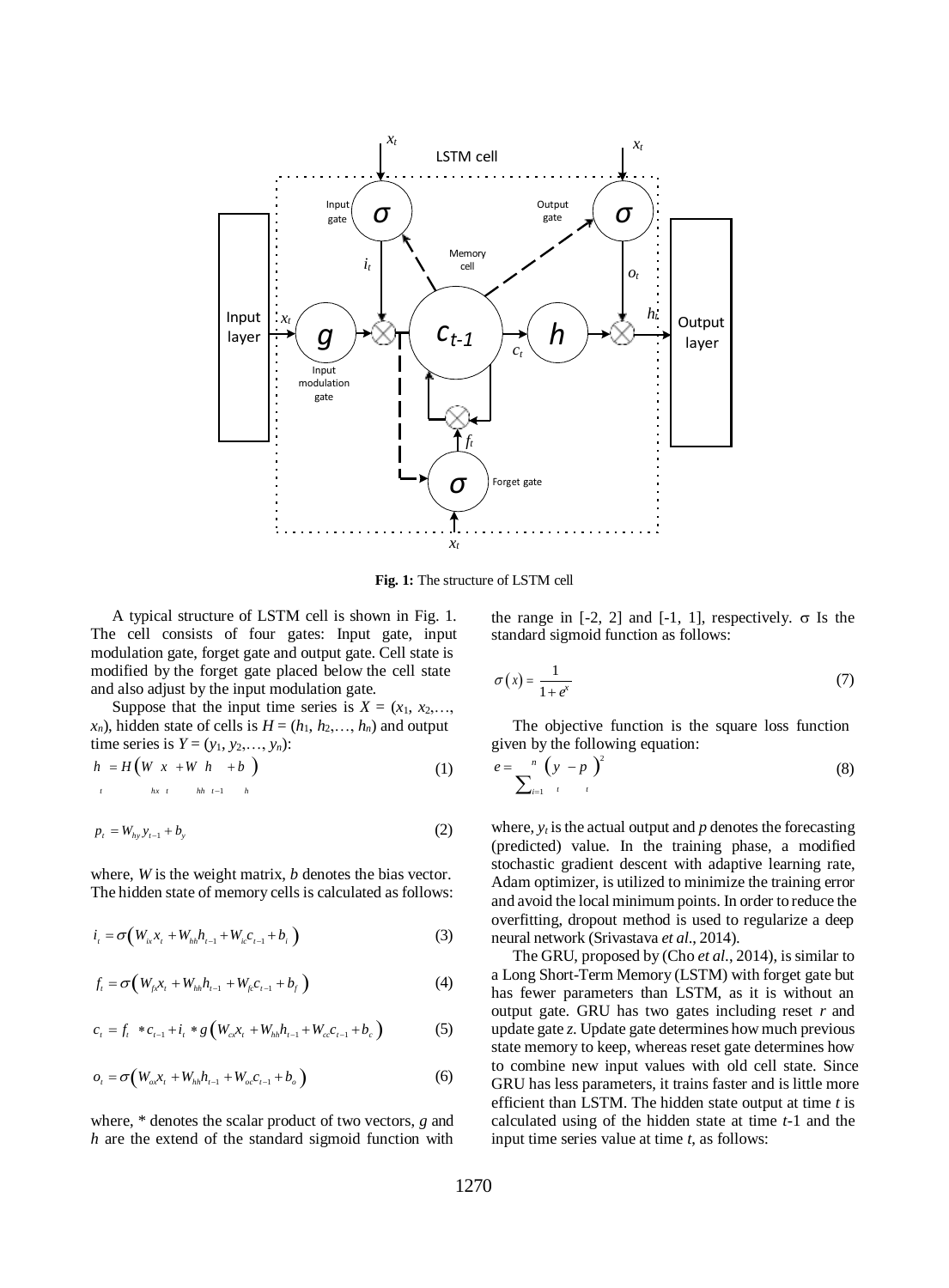

**Fig. 1:** The structure of LSTM cell

A typical structure of LSTM cell is shown in Fig. 1. The cell consists of four gates: Input gate, input modulation gate, forget gate and output gate. Cell state is modified by the forget gate placed below the cell state and also adjust by the input modulation gate.

Suppose that the input time series is  $X = (x_1, x_2,...,$ *), hidden state of cells is*  $H = (h_1, h_2, \ldots, h_n)$  *and output* time series is  $Y = (y_1, y_2, ..., y_n)$ :

$$
h = H(W x + W h + b) \t\t (1) \t e = \sum_{i=1}^{n} \sum_{i=1}^{n} f(i) e^{i\theta} \sum_{i=1}^{n} f(i) e^{i\theta} \sum_{i=1}^{n} f(i) e^{i\theta} \sum_{i=1}^{n} f(i) e^{i\theta} \sum_{i=1}^{n} f(i) e^{i\theta} \sum_{i=1}^{n} f(i) e^{i\theta} \sum_{i=1}^{n} f(i) e^{i\theta} \sum_{i=1}^{n} f(i) e^{i\theta} \sum_{i=1}^{n} f(i) e^{i\theta} \sum_{i=1}^{n} f(i) e^{i\theta} \sum_{i=1}^{n} f(i) e^{i\theta} \sum_{i=1}^{n} f(i) e^{i\theta} \sum_{i=1}^{n} f(i) e^{i\theta} \sum_{i=1}^{n} f(i) e^{i\theta} \sum_{i=1}^{n} f(i) e^{i\theta} \sum_{i=1}^{n} f(i) e^{i\theta} \sum_{i=1}^{n} f(i) e^{i\theta} \sum_{i=1}^{n} f(i) e^{i\theta} \sum_{i=1}^{n} f(i) e^{i\theta} \sum_{i=1}^{n} f(i) e^{i\theta} \sum_{i=1}^{n} f(i) e^{i\theta} \sum_{i=1}^{n} f(i) e^{i\theta} \sum_{i=1}^{n} f(i) e^{i\theta} \sum_{i=1}^{n} f(i) e^{i\theta} \sum_{i=1}^{n} f(i) e^{i\theta} \sum_{i=1}^{n} f(i) e^{i\theta} \sum_{i=1}^{n} f(i) e^{i\theta} \sum_{i=1}^{n} f(i) e^{i\theta} \sum_{i=1}^{n} f(i) e^{i\theta} \sum_{i=1}^{n} f(i) e^{i\theta} \sum_{i=1}^{n} f(i) e^{i\theta} \sum_{i=1}^{n} f(i) e^{i\theta} \sum_{i=1}^{n} f(i) e^{i\theta} \sum_{i=1}^{n} f(i) e^{i\theta} \sum_{i=1}^{n} f(i) e^{i\theta} \sum_{i=1}^{n} f(i) e^{i\theta} \sum_{i=1}^{n} f(i) e^{i\theta} \sum_{i=1}^{n} f(i) e^{i\theta} \sum_{i=1
$$

$$
p_t = W_{hy} y_{t-1} + b_y \tag{2}
$$

where, *W* is the weight matrix, *b* denotes the bias vector. The hidden state of memory cells is calculated as follows:

$$
i_{t} = \sigma \big( W_{ix} x_{t} + W_{hh} h_{t-1} + W_{ic} c_{t-1} + b_{i} \big)
$$
 (3)

$$
f_{t} = \sigma \Big( W_{f x} x_{t} + W_{h h} h_{t-1} + W_{f c} c_{t-1} + b_{f} \Big)
$$
 (4)

$$
c_{t} = f_{t} * c_{t-1} + i_{t} * g\left(W_{cx}x_{t} + W_{hh}h_{t-1} + W_{cc}c_{t-1} + b_{c}\right)
$$
 (5)

$$
o_{t} = \sigma \Big( W_{ox} x_{t} + W_{hh} h_{t-1} + W_{oc} c_{t-1} + b_{o} \Big)
$$
 (6)

where, \* denotes the scalar product of two vectors, *g* and *h* are the extend of the standard sigmoid function with the range in [-2, 2] and [-1, 1], respectively.  $\sigma$  Is the standard sigmoid function as follows:

$$
\sigma(x) = \frac{1}{1 + e^x} \tag{7}
$$

The objective function is the square loss function given by the following equation:

$$
e = \sum_{i=1}^{n} \left( y - p \right)^2
$$
 (8)

where,  $y_t$  is the actual output and *p* denotes the forecasting (predicted) value. In the training phase, a modified stochastic gradient descent with adaptive learning rate, Adam optimizer, is utilized to minimize the training error and avoid the local minimum points. In order to reduce the overfitting, dropout method is used to regularize a deep *theural network (Srivastava <i>et al.*, 2014).

The GRU, proposed by (Cho *et al*., 2014), is similar to *t*  $\frac{1}{2}$  *x*  $\frac{1}{2}$  *x*  $\frac{1}{2}$  *x*  $\frac{1}{2}$  *x*  $\frac{1}{2}$  *x*  $\frac{1}{2}$  *x*  $\frac{1}{2}$  *x*  $\frac{1}{2}$  *x*  $\frac{1}{2}$  *x*  $\frac{1}{2}$  *x*  $\frac{1}{2}$  *x*  $\frac{1}{2}$  *x*  $\frac{1}{2}$  *x*  $\frac{1}{2}$  has fewer parameters than LSTM, as it is without an output gate. GRU has two gates including reset *r* and *c*<sub>t</sub> 1 *b*<sub>c</sub> *c<sub>z</sub>. Update gate determines how much previous* state memory to keep, whereas reset gate determines how to combine new input values with old cell state. Since GRU has less parameters, it trains faster and is little more efficient than LSTM. The hidden state output at time *t* is calculated using of the hidden state at time *t*-1 and the input time series value at time *t*, as follows: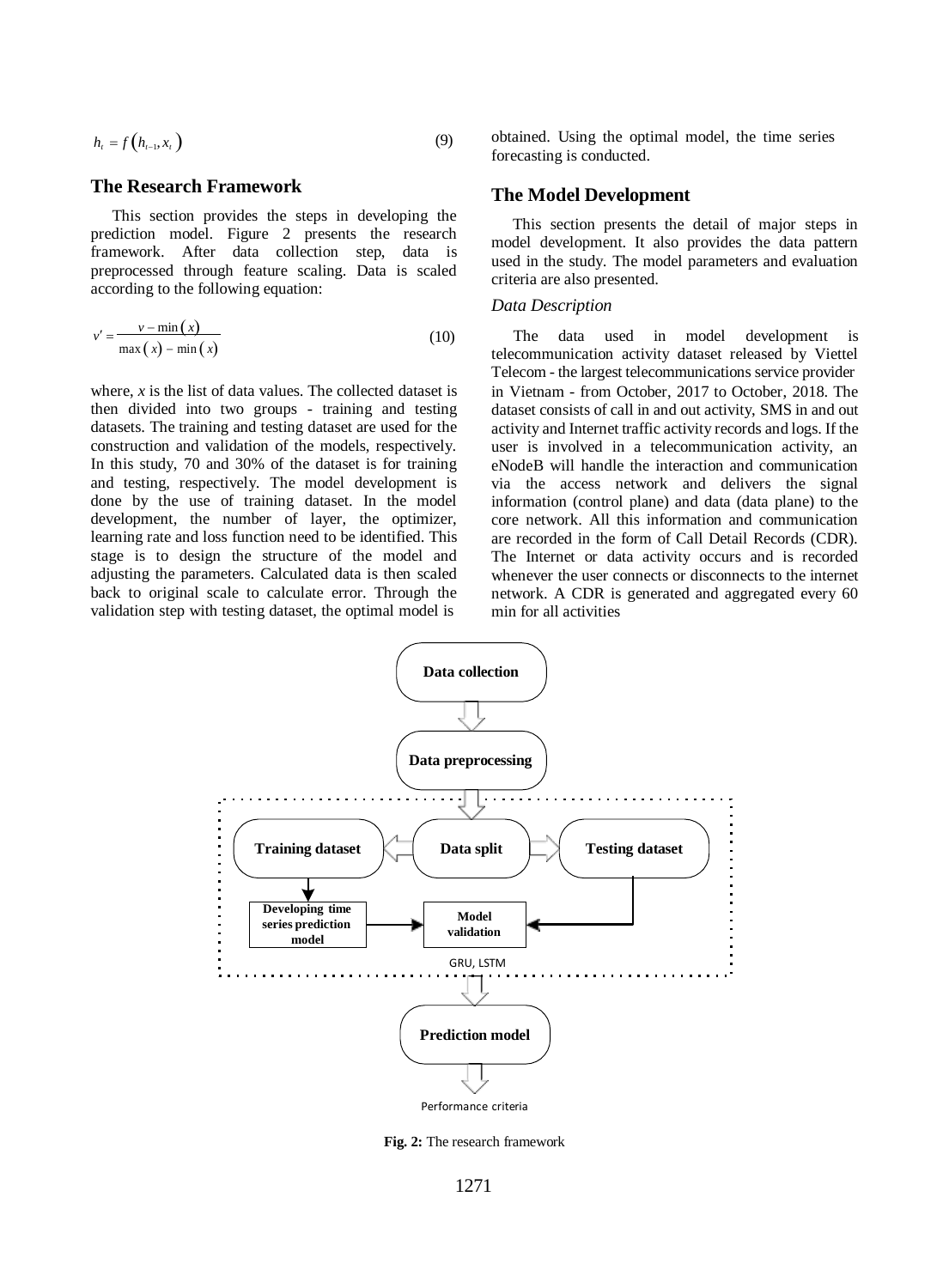$$
h_t = f\left(h_{t-1}, x_t\right) \tag{9}
$$

# **The Research Framework**

This section provides the steps in developing the prediction model. Figure 2 presents the research framework. After data collection step, data is preprocessed through feature scaling. Data is scaled according to the following equation:

$$
v' = \frac{v - \min(x)}{\max(x) - \min(x)}
$$
(10)

where,  $\dot{x}$  is the list of data values. The collected dataset is then divided into two groups - training and testing datasets. The training and testing dataset are used for the construction and validation of the models, respectively. In this study, 70 and 30% of the dataset is for training and testing, respectively. The model development is done by the use of training dataset. In the model development, the number of layer, the optimizer, learning rate and loss function need to be identified. This stage is to design the structure of the model and adjusting the parameters. Calculated data is then scaled back to original scale to calculate error. Through the validation step with testing dataset, the optimal model is

(9) obtained. Using the optimal model, the time series forecasting is conducted.

# **The Model Development**

This section presents the detail of major steps in model development. It also provides the data pattern used in the study. The model parameters and evaluation criteria are also presented.

# *Data Description*

The data used in model development is telecommunication activity dataset released by Viettel Telecom - the largest telecommunications service provider in Vietnam - from October, 2017 to October, 2018. The dataset consists of call in and out activity, SMS in and out activity and Internet traffic activity records and logs. If the user is involved in a telecommunication activity, an eNodeB will handle the interaction and communication via the access network and delivers the signal information (control plane) and data (data plane) to the core network. All this information and communication are recorded in the form of Call Detail Records (CDR). The Internet or data activity occurs and is recorded whenever the user connects or disconnects to the internet network. A CDR is generated and aggregated every 60 min for all activities



**Fig. 2:** The research framework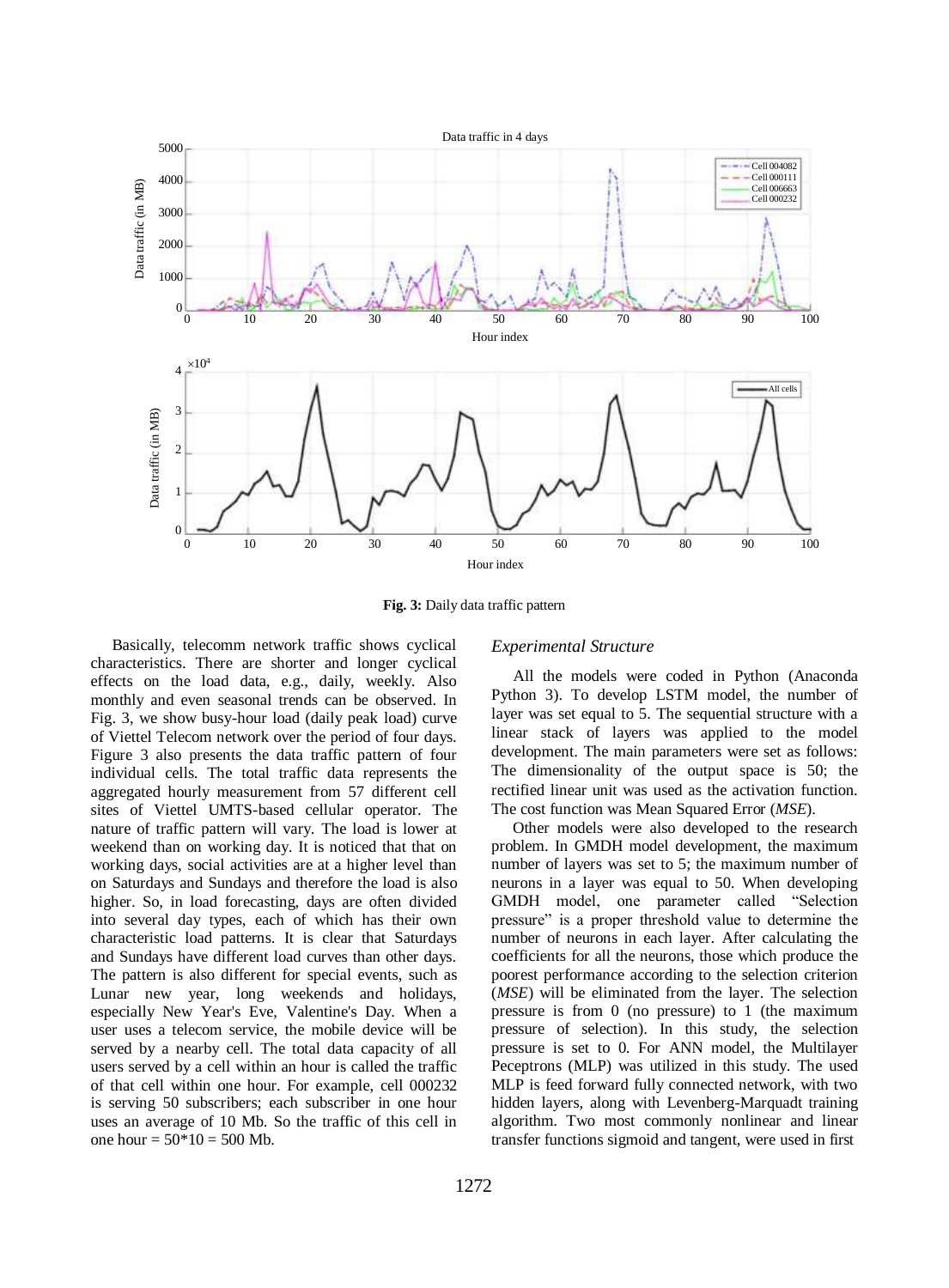

**Fig. 3:** Daily data traffic pattern

Basically, telecomm network traffic shows cyclical characteristics. There are shorter and longer cyclical effects on the load data, e.g., daily, weekly. Also monthly and even seasonal trends can be observed. In Fig. 3, we show busy-hour load (daily peak load) curve of Viettel Telecom network over the period of four days. Figure 3 also presents the data traffic pattern of four individual cells. The total traffic data represents the aggregated hourly measurement from 57 different cell sites of Viettel UMTS-based cellular operator. The nature of traffic pattern will vary. The load is lower at weekend than on working day. It is noticed that that on working days, social activities are at a higher level than on Saturdays and Sundays and therefore the load is also higher. So, in load forecasting, days are often divided into several day types, each of which has their own characteristic load patterns. It is clear that Saturdays and Sundays have different load curves than other days. The pattern is also different for special events, such as Lunar new year, long weekends and holidays, especially New Year's Eve, Valentine's Day. When a user uses a telecom service, the mobile device will be served by a nearby cell. The total data capacity of all users served by a cell within an hour is called the traffic of that cell within one hour. For example, cell 000232 is serving 50 subscribers; each subscriber in one hour uses an average of 10 Mb. So the traffic of this cell in one hour =  $50*10 = 500$  Mb.

#### *Experimental Structure*

All the models were coded in Python (Anaconda Python 3). To develop LSTM model, the number of layer was set equal to 5. The sequential structure with a linear stack of layers was applied to the model development. The main parameters were set as follows: The dimensionality of the output space is 50; the rectified linear unit was used as the activation function. The cost function was Mean Squared Error (*MSE*).

Other models were also developed to the research problem. In GMDH model development, the maximum number of layers was set to 5; the maximum number of neurons in a layer was equal to 50. When developing GMDH model, one parameter called "Selection pressure" is a proper threshold value to determine the number of neurons in each layer. After calculating the coefficients for all the neurons, those which produce the poorest performance according to the selection criterion (*MSE*) will be eliminated from the layer. The selection pressure is from 0 (no pressure) to 1 (the maximum pressure of selection). In this study, the selection pressure is set to 0. For ANN model, the Multilayer Peceptrons (MLP) was utilized in this study. The used MLP is feed forward fully connected network, with two hidden layers, along with Levenberg-Marquadt training algorithm. Two most commonly nonlinear and linear transfer functions sigmoid and tangent, were used in first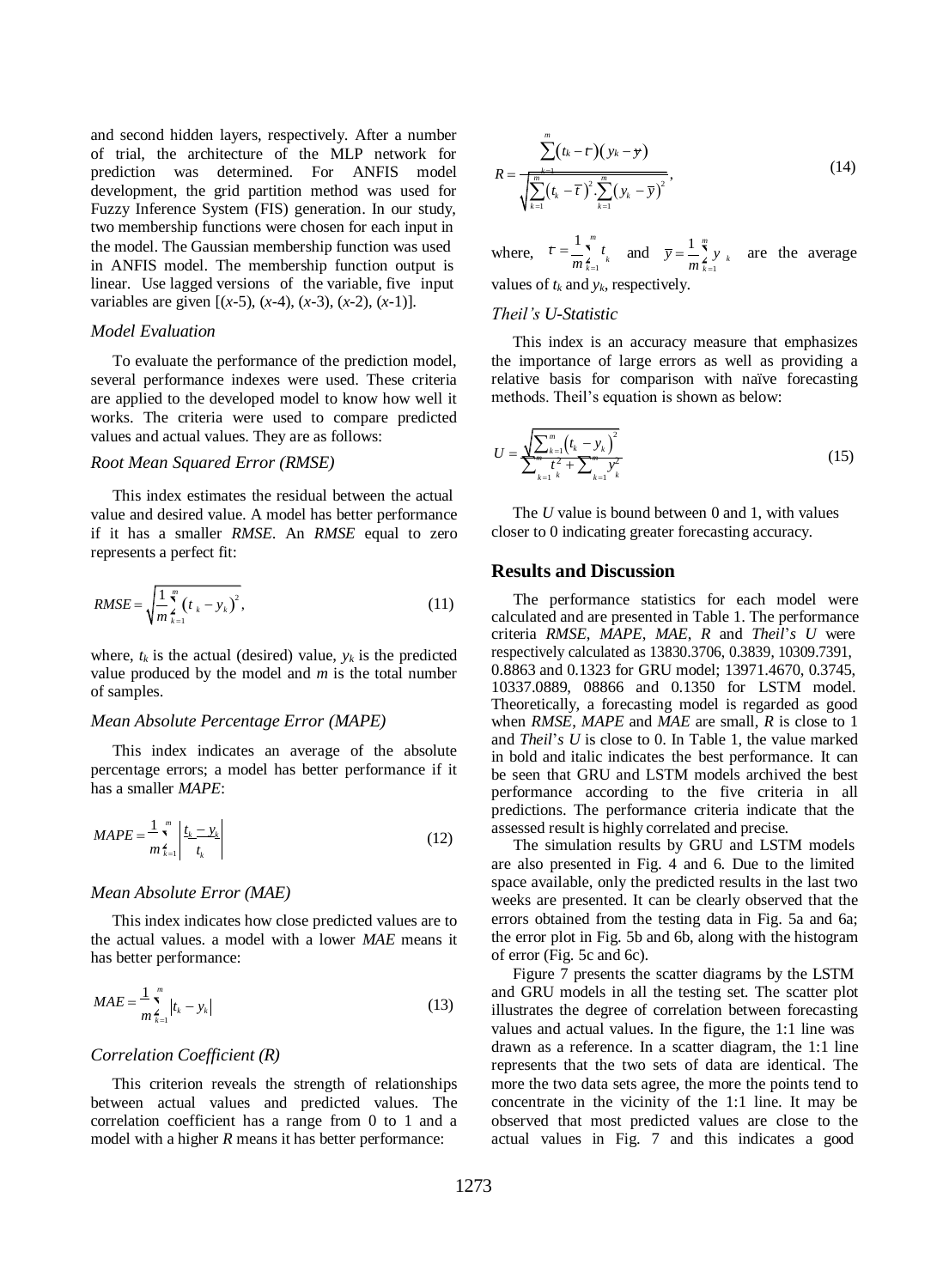and second hidden layers, respectively. After a number of trial, the architecture of the MLP network for prediction was determined. For ANFIS model development, the grid partition method was used for Fuzzy Inference System (FIS) generation. In our study, two membership functions were chosen for each input in the model. The Gaussian membership function was used in ANFIS model. The membership function output is linear. Use lagged versions of the variable, five input variables are given  $[(x-5), (x-4), (x-3), (x-2), (x-1)].$ 

#### *Model Evaluation*

To evaluate the performance of the prediction model, several performance indexes were used. These criteria are applied to the developed model to know how well it works. The criteria were used to compare predicted values and actual values. They are as follows:

#### *Root Mean Squared Error (RMSE) <sup>U</sup>*

This index estimates the residual between the actual value and desired value. A model has better performance if it has a smaller *RMSE*. An *RMSE* equal to zero represents a perfect fit:

$$
RMSE = \sqrt{\frac{1}{m} \sum_{k=1}^{m} (t_k - y_k)^2},
$$
\n(11)

where,  $t_k$  is the actual (desired) value,  $y_k$  is the predicted value produced by the model and *m* is the total number of samples.

#### *Mean Absolute Percentage Error (MAPE)*

This index indicates an average of the absolute percentage errors; a model has better performance if it has a smaller *MAPE*:

$$
MAPE = \frac{1}{m} \sum_{k=1}^{m} \left| \frac{t_k - y_k}{t_k} \right| \tag{12}
$$

#### *Mean Absolute Error (MAE)*

This index indicates how close predicted values are to the actual values. a model with a lower *MAE* means it has better performance:

$$
MAE = \frac{1}{m} \sum_{k=1}^{m} |t_k - y_k|
$$
\n(13)

#### *Correlation Coefficient (R)*

This criterion reveals the strength of relationships between actual values and predicted values. The correlation coefficient has a range from 0 to 1 and a model with a higher *R* means it has better performance:

$$
R = \frac{\sum_{k=1}^{m} (t_k - \tau)(y_k - y)}{\sqrt{\sum_{k=1}^{m} (t_k - \overline{t})^2 \sum_{k=1}^{m} (y_k - \overline{y})^2}},
$$
(14)

where,  $\tau = \frac{1}{m} \sum_{k=1}^{m} t_k$  and  $\bar{y} = \frac{1}{m} \sum_{k=1}^{m} y_k$  $\frac{1}{m} \sum_{k=1}^{m} t_k$  and  $\overline{y} = \frac{1}{m} \sum_{k=1}^{m} y_k$  are the average values of  $t_k$  and  $y_k$ , respectively.

## *Theil's U-Statistic*

This index is an accuracy measure that emphasizes the importance of large errors as well as providing a relative basis for comparison with naïve forecasting methods. Theil's equation is shown as below:

$$
U = \sum_{k=1}^{N} \frac{m}{t^2 + \sum_{k=1}^{m} y_k^2}
$$
 (15)

The *U* value is bound between 0 and 1, with values closer to 0 indicating greater forecasting accuracy.

## **Results and Discussion**

The performance statistics for each model were calculated and are presented in Table 1. The performance criteria *RMSE*, *MAPE*, *MAE*, *R* and *Theil*'*s U* were respectively calculated as 13830.3706, 0.3839, 10309.7391, 0.8863 and 0.1323 for GRU model; 13971.4670, 0.3745, 10337.0889, 08866 and 0.1350 for LSTM model. Theoretically, a forecasting model is regarded as good when *RMSE*, *MAPE* and *MAE* are small, *R* is close to 1 and *Theil*'*s U* is close to 0. In Table 1, the value marked in bold and italic indicates the best performance. It can be seen that GRU and LSTM models archived the best performance according to the five criteria in all predictions. The performance criteria indicate that the assessed result is highly correlated and precise.

The simulation results by GRU and LSTM models are also presented in Fig. 4 and 6. Due to the limited space available, only the predicted results in the last two weeks are presented. It can be clearly observed that the errors obtained from the testing data in Fig. 5a and 6a; the error plot in Fig. 5b and 6b, along with the histogram of error (Fig. 5c and 6c).

Figure 7 presents the scatter diagrams by the LSTM and GRU models in all the testing set. The scatter plot illustrates the degree of correlation between forecasting values and actual values. In the figure, the 1:1 line was drawn as a reference. In a scatter diagram, the 1:1 line represents that the two sets of data are identical. The more the two data sets agree, the more the points tend to concentrate in the vicinity of the 1:1 line. It may be observed that most predicted values are close to the actual values in Fig. 7 and this indicates a good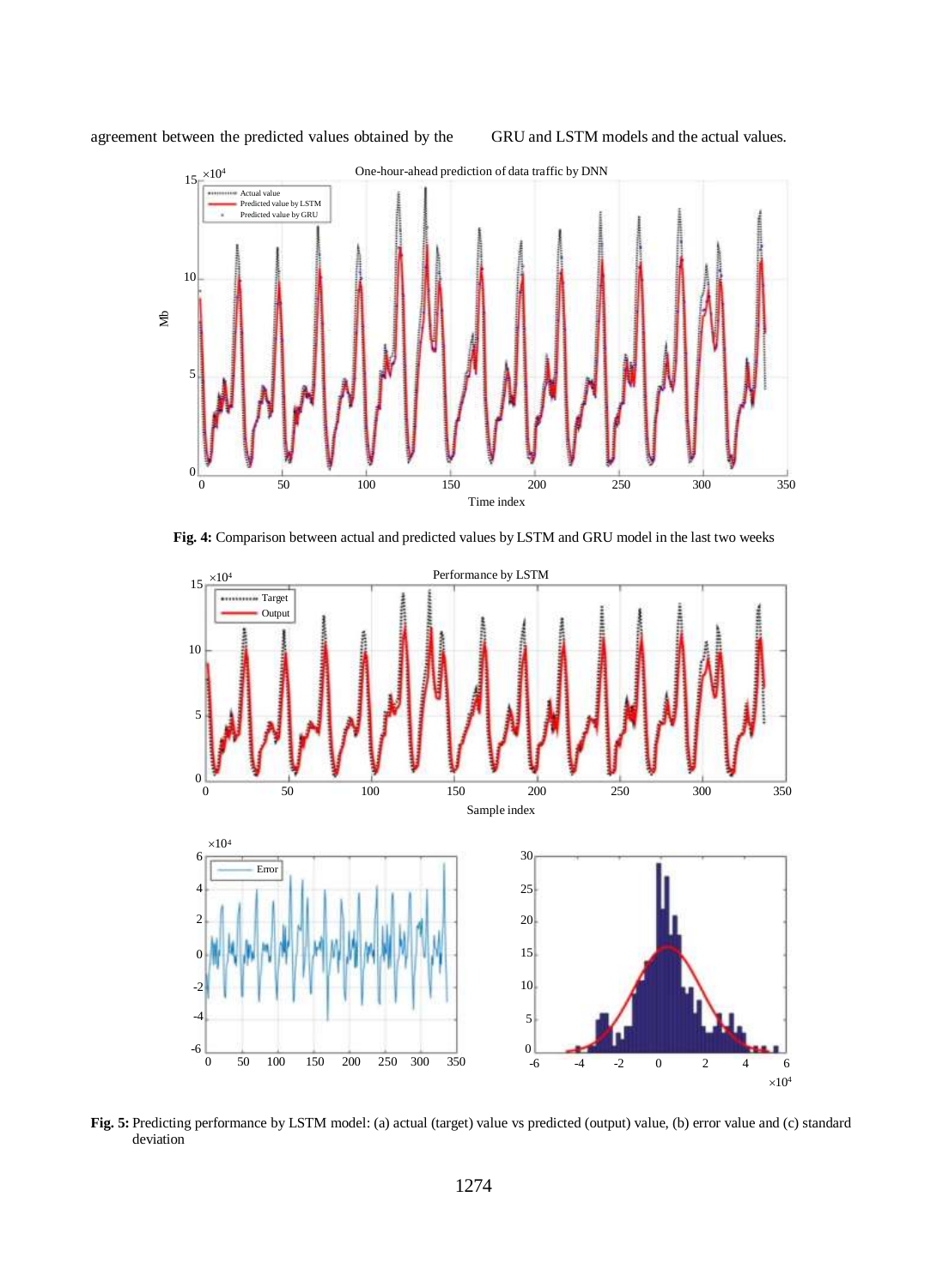agreement between the predicted values obtained by the GRU and LSTM models and the actual values.



**Fig. 4:** Comparison between actual and predicted values by LSTM and GRU model in the last two weeks



**Fig. 5:** Predicting performance by LSTM model: (a) actual (target) value vs predicted (output) value, (b) error value and (c) standard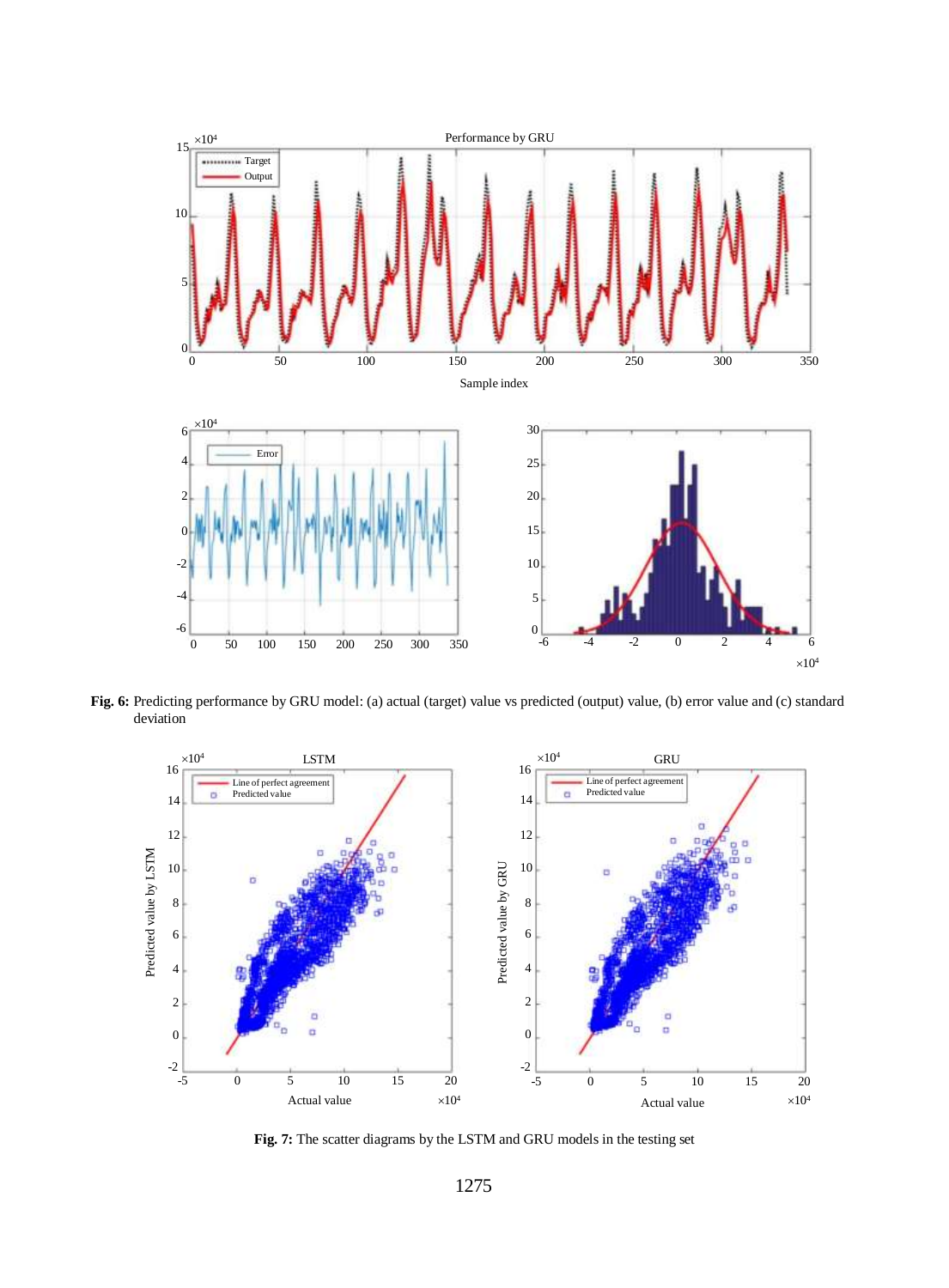

Fig. 6: Predicting performance by GRU model: (a) actual (target) value vs predicted (output) value, (b) error value and (c) standard deviation



**Fig. 7:** The scatter diagrams by the LSTM and GRU models in the testing set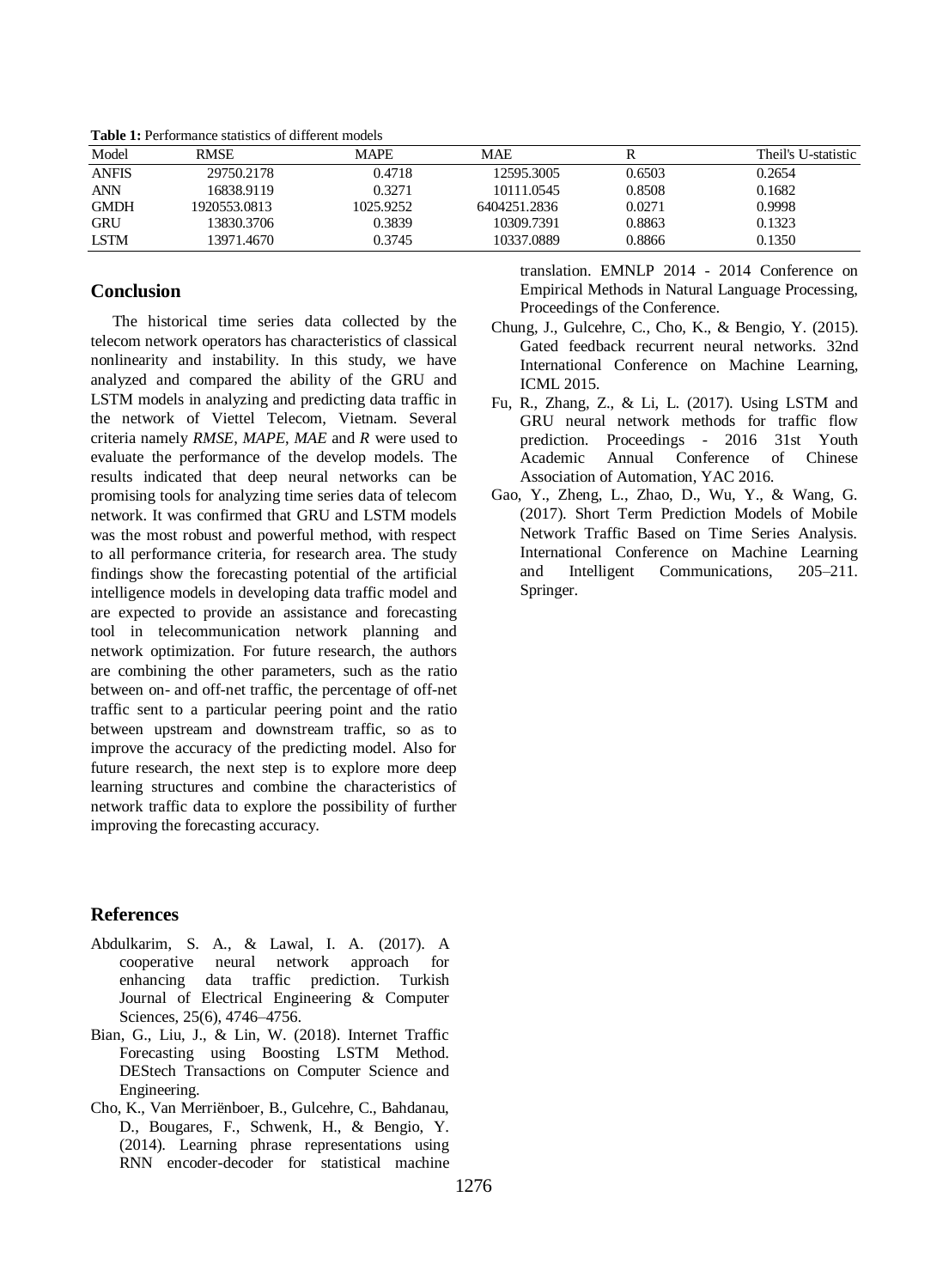| Model        | <b>RMSE</b>  | <b>MAPE</b> | <b>MAE</b>   | R      | Theil's U-statistic |
|--------------|--------------|-------------|--------------|--------|---------------------|
| <b>ANFIS</b> | 29750.2178   | 0.4718      | 12595.3005   | 0.6503 | 0.2654              |
| <b>ANN</b>   | 16838.9119   | 0.3271      | 10111.0545   | 0.8508 | 0.1682              |
| <b>GMDH</b>  | 1920553.0813 | 1025.9252   | 6404251.2836 | 0.0271 | 0.9998              |
| GRU          | 13830.3706   | 0.3839      | 10309.7391   | 0.8863 | 0.1323              |
| LSTM         | 13971.4670   | 0.3745      | 10337.0889   | 0.8866 | 0.1350              |

**Table 1:** Performance statistics of different models

# **Conclusion**

The historical time series data collected by the telecom network operators has characteristics of classical nonlinearity and instability. In this study, we have analyzed and compared the ability of the GRU and LSTM models in analyzing and predicting data traffic in the network of Viettel Telecom, Vietnam. Several criteria namely *RMSE*, *MAPE*, *MAE* and *R* were used to evaluate the performance of the develop models. The results indicated that deep neural networks can be promising tools for analyzing time series data of telecom network. It was confirmed that GRU and LSTM models was the most robust and powerful method, with respect to all performance criteria, for research area. The study findings show the forecasting potential of the artificial intelligence models in developing data traffic model and are expected to provide an assistance and forecasting tool in telecommunication network planning and network optimization. For future research, the authors are combining the other parameters, such as the ratio between on- and off-net traffic, the percentage of off-net traffic sent to a particular peering point and the ratio between upstream and downstream traffic, so as to improve the accuracy of the predicting model. Also for future research, the next step is to explore more deep learning structures and combine the characteristics of network traffic data to explore the possibility of further improving the forecasting accuracy.

# **References**

- Abdulkarim, S. A., & Lawal, I. A. (2017). A cooperative neural network approach for enhancing data traffic prediction. Turkish Journal of Electrical Engineering & Computer Sciences, 25(6), 4746–4756.
- Bian, G., Liu, J., & Lin, W. (2018). Internet Traffic Forecasting using Boosting LSTM Method. DEStech Transactions on Computer Science and Engineering.
- Cho, K., Van Merriënboer, B., Gulcehre, C., Bahdanau, D., Bougares, F., Schwenk, H., & Bengio, Y. (2014). Learning phrase representations using RNN encoder-decoder for statistical machine

translation. EMNLP 2014 - 2014 Conference on Empirical Methods in Natural Language Processing, Proceedings of the Conference.

- Chung, J., Gulcehre, C., Cho, K., & Bengio, Y. (2015). Gated feedback recurrent neural networks. 32nd International Conference on Machine Learning, ICML 2015.
- Fu, R., Zhang, Z., & Li, L. (2017). Using LSTM and GRU neural network methods for traffic flow prediction. Proceedings - 2016 31st Youth Academic Annual Conference of Chinese Association of Automation, YAC 2016.
- Gao, Y., Zheng, L., Zhao, D., Wu, Y., & Wang, G. (2017). Short Term Prediction Models of Mobile Network Traffic Based on Time Series Analysis. International Conference on Machine Learning and Intelligent Communications, 205–211. Springer.